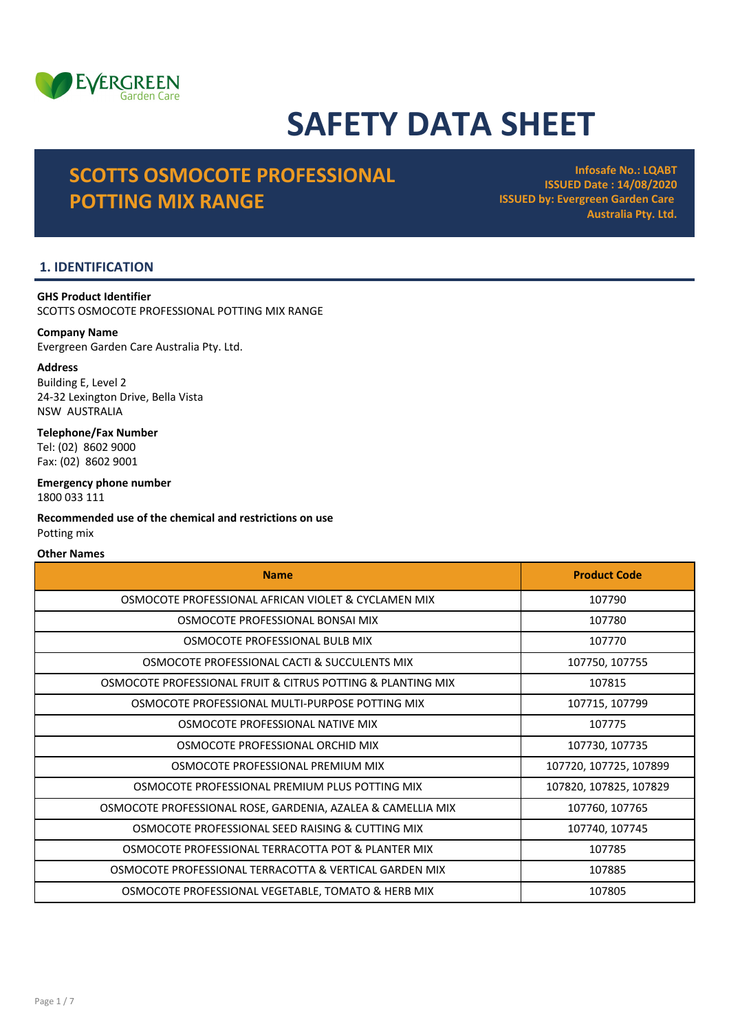

# SAFETY DATA SHEET

## SCOTTS OSMOCOTE PROFESSIONAL POTTING MIX RANGE

Infosafe No.: LQABT ISSUED Date : 14/08/2020 ISSUED by: Evergreen Garden Care Australia Pty. Ltd.

## 1. IDENTIFICATION

GHS Product Identifier SCOTTS OSMOCOTE PROFESSIONAL POTTING MIX RANGE

## Company Name

Evergreen Garden Care Australia Pty. Ltd.

## Address

Building E, Level 2 24-32 Lexington Drive, Bella Vista NSW AUSTRALIA

## Telephone/Fax Number Tel: (02) 8602 9000

Fax: (02) 8602 9001

## Emergency phone number 1800 033 111

Recommended use of the chemical and restrictions on use Potting mix

## Other Names

| <b>Name</b>                                                 | <b>Product Code</b>    |
|-------------------------------------------------------------|------------------------|
| OSMOCOTE PROFESSIONAL AFRICAN VIOLET & CYCLAMEN MIX         | 107790                 |
| OSMOCOTE PROFESSIONAL BONSAI MIX                            | 107780                 |
| OSMOCOTE PROFESSIONAL BULB MIX                              | 107770                 |
| OSMOCOTE PROFESSIONAL CACTI & SUCCULENTS MIX                | 107750, 107755         |
| OSMOCOTE PROFESSIONAL FRUIT & CITRUS POTTING & PLANTING MIX | 107815                 |
| OSMOCOTE PROFESSIONAL MULTI-PURPOSE POTTING MIX             | 107715, 107799         |
| OSMOCOTE PROFESSIONAL NATIVE MIX                            | 107775                 |
| OSMOCOTE PROFESSIONAL ORCHID MIX                            | 107730, 107735         |
| OSMOCOTE PROFESSIONAL PREMIUM MIX                           | 107720, 107725, 107899 |
| OSMOCOTE PROFESSIONAL PREMIUM PLUS POTTING MIX              | 107820, 107825, 107829 |
| OSMOCOTE PROFESSIONAL ROSE, GARDENIA, AZALEA & CAMELLIA MIX | 107760, 107765         |
| OSMOCOTE PROFESSIONAL SEED RAISING & CUTTING MIX            | 107740, 107745         |
| OSMOCOTE PROFESSIONAL TERRACOTTA POT & PLANTER MIX          | 107785                 |
| OSMOCOTE PROFESSIONAL TERRACOTTA & VERTICAL GARDEN MIX      | 107885                 |
| OSMOCOTE PROFESSIONAL VEGETABLE, TOMATO & HERB MIX          | 107805                 |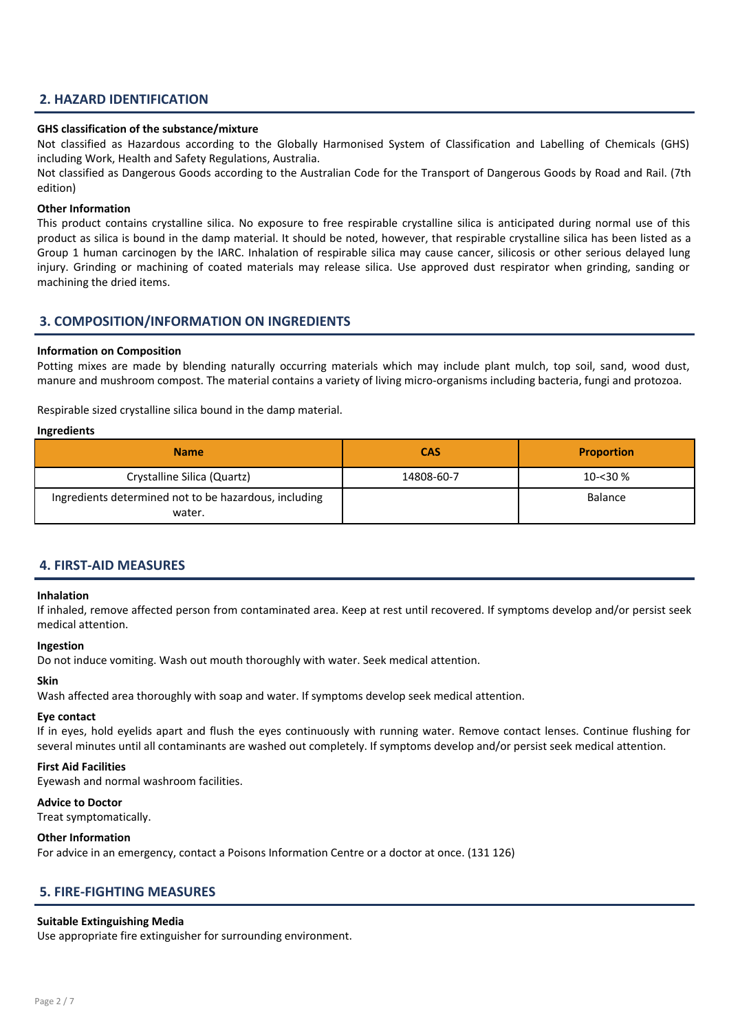## 2. HAZARD IDENTIFICATION

## GHS classification of the substance/mixture

Not classified as Hazardous according to the Globally Harmonised System of Classification and Labelling of Chemicals (GHS) including Work, Health and Safety Regulations, Australia.

Not classified as Dangerous Goods according to the Australian Code for the Transport of Dangerous Goods by Road and Rail. (7th edition)

## Other Information

This product contains crystalline silica. No exposure to free respirable crystalline silica is anticipated during normal use of this product as silica is bound in the damp material. It should be noted, however, that respirable crystalline silica has been listed as a Group 1 human carcinogen by the IARC. Inhalation of respirable silica may cause cancer, silicosis or other serious delayed lung injury. Grinding or machining of coated materials may release silica. Use approved dust respirator when grinding, sanding or machining the dried items.

## 3. COMPOSITION/INFORMATION ON INGREDIENTS

## Information on Composition

Potting mixes are made by blending naturally occurring materials which may include plant mulch, top soil, sand, wood dust, manure and mushroom compost. The material contains a variety of living micro-organisms including bacteria, fungi and protozoa.

Respirable sized crystalline silica bound in the damp material.

#### Ingredients

| <b>Name</b>                                                     | <b>CAS</b> | <b>Proportion</b> |
|-----------------------------------------------------------------|------------|-------------------|
| Crystalline Silica (Quartz)                                     | 14808-60-7 | $10 - 30%$        |
| Ingredients determined not to be hazardous, including<br>water. |            | <b>Balance</b>    |

## 4. FIRST-AID MEASURES

## Inhalation

If inhaled, remove affected person from contaminated area. Keep at rest until recovered. If symptoms develop and/or persist seek medical attention.

#### Ingestion

Do not induce vomiting. Wash out mouth thoroughly with water. Seek medical attention.

#### Skin

Wash affected area thoroughly with soap and water. If symptoms develop seek medical attention.

#### Eye contact

If in eyes, hold eyelids apart and flush the eyes continuously with running water. Remove contact lenses. Continue flushing for several minutes until all contaminants are washed out completely. If symptoms develop and/or persist seek medical attention.

#### First Aid Facilities

Eyewash and normal washroom facilities.

## Advice to Doctor

Treat symptomatically.

#### Other Information

For advice in an emergency, contact a Poisons Information Centre or a doctor at once. (131 126)

## 5. FIRE-FIGHTING MEASURES

#### Suitable Extinguishing Media

Use appropriate fire extinguisher for surrounding environment.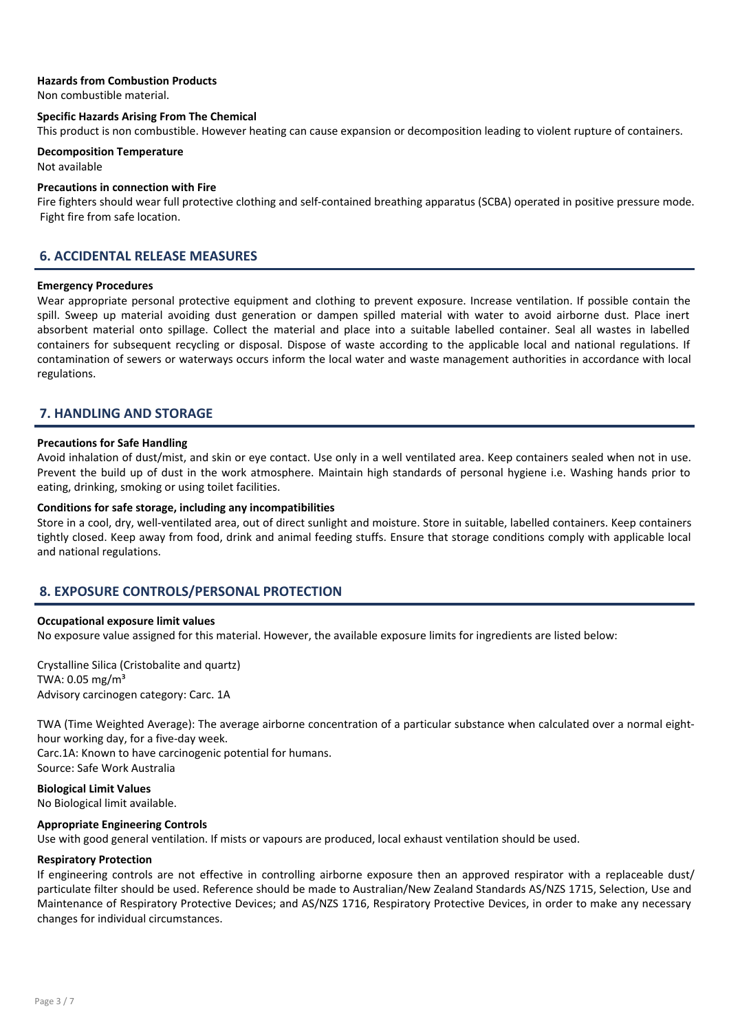## Hazards from Combustion Products

Non combustible material.

## Specific Hazards Arising From The Chemical

This product is non combustible. However heating can cause expansion or decomposition leading to violent rupture of containers.

#### Decomposition Temperature Not available

#### Precautions in connection with Fire

Fire fighters should wear full protective clothing and self-contained breathing apparatus (SCBA) operated in positive pressure mode. Fight fire from safe location.

## 6. ACCIDENTAL RELEASE MEASURES

#### Emergency Procedures

Wear appropriate personal protective equipment and clothing to prevent exposure. Increase ventilation. If possible contain the spill. Sweep up material avoiding dust generation or dampen spilled material with water to avoid airborne dust. Place inert absorbent material onto spillage. Collect the material and place into a suitable labelled container. Seal all wastes in labelled containers for subsequent recycling or disposal. Dispose of waste according to the applicable local and national regulations. If contamination of sewers or waterways occurs inform the local water and waste management authorities in accordance with local regulations.

## 7. HANDLING AND STORAGE

#### Precautions for Safe Handling

Avoid inhalation of dust/mist, and skin or eye contact. Use only in a well ventilated area. Keep containers sealed when not in use. Prevent the build up of dust in the work atmosphere. Maintain high standards of personal hygiene i.e. Washing hands prior to eating, drinking, smoking or using toilet facilities.

## Conditions for safe storage, including any incompatibilities

Store in a cool, dry, well-ventilated area, out of direct sunlight and moisture. Store in suitable, labelled containers. Keep containers tightly closed. Keep away from food, drink and animal feeding stuffs. Ensure that storage conditions comply with applicable local and national regulations.

## 8. EXPOSURE CONTROLS/PERSONAL PROTECTION

#### Occupational exposure limit values

No exposure value assigned for this material. However, the available exposure limits for ingredients are listed below:

Crystalline Silica (Cristobalite and quartz) TWA:  $0.05$  mg/m<sup>3</sup> Advisory carcinogen category: Carc. 1A

TWA (Time Weighted Average): The average airborne concentration of a particular substance when calculated over a normal eighthour working day, for a five-day week.

Carc.1A: Known to have carcinogenic potential for humans. Source: Safe Work Australia

## Biological Limit Values

No Biological limit available.

#### Appropriate Engineering Controls

Use with good general ventilation. If mists or vapours are produced, local exhaust ventilation should be used.

#### Respiratory Protection

If engineering controls are not effective in controlling airborne exposure then an approved respirator with a replaceable dust/ particulate filter should be used. Reference should be made to Australian/New Zealand Standards AS/NZS 1715, Selection, Use and Maintenance of Respiratory Protective Devices; and AS/NZS 1716, Respiratory Protective Devices, in order to make any necessary changes for individual circumstances.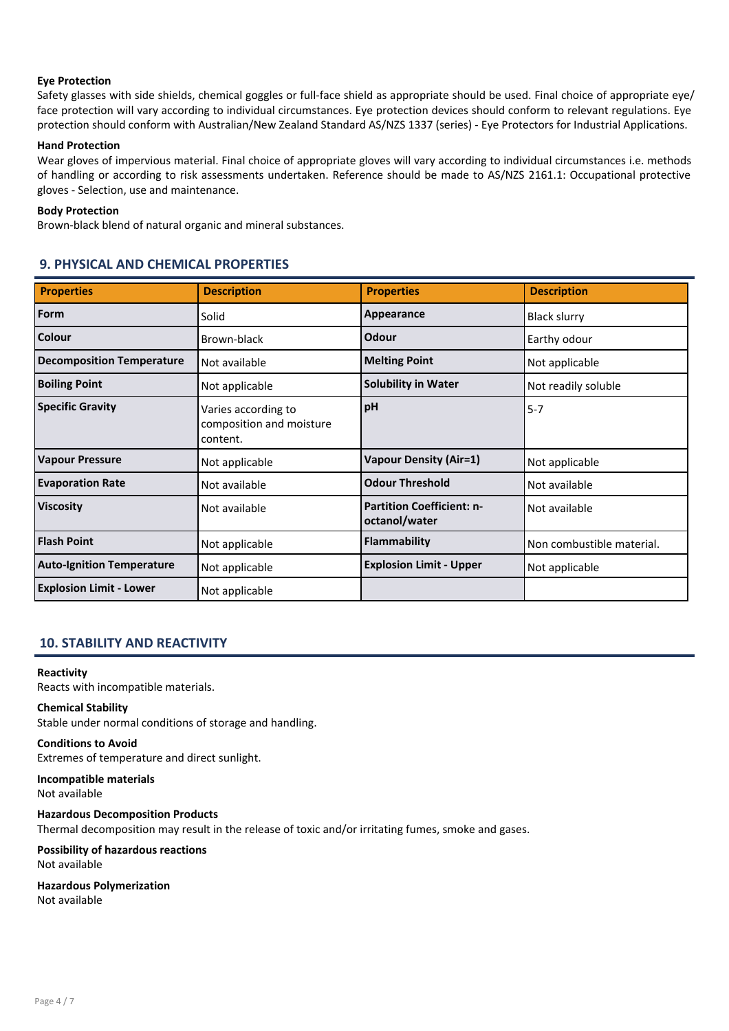## Eye Protection

Safety glasses with side shields, chemical goggles or full-face shield as appropriate should be used. Final choice of appropriate eye/ face protection will vary according to individual circumstances. Eye protection devices should conform to relevant regulations. Eye protection should conform with Australian/New Zealand Standard AS/NZS 1337 (series) - Eye Protectors for Industrial Applications.

## Hand Protection

Wear gloves of impervious material. Final choice of appropriate gloves will vary according to individual circumstances i.e. methods of handling or according to risk assessments undertaken. Reference should be made to AS/NZS 2161.1: Occupational protective gloves - Selection, use and maintenance.

## Body Protection

Brown-black blend of natural organic and mineral substances.

## 9. PHYSICAL AND CHEMICAL PROPERTIES

| <b>Properties</b>                | <b>Description</b>                                          | <b>Properties</b>                                 | <b>Description</b>        |
|----------------------------------|-------------------------------------------------------------|---------------------------------------------------|---------------------------|
| Form                             | Solid                                                       | Appearance                                        | <b>Black slurry</b>       |
| Colour                           | Brown-black                                                 | Odour                                             | Earthy odour              |
| <b>Decomposition Temperature</b> | Not available                                               | <b>Melting Point</b>                              | Not applicable            |
| <b>Boiling Point</b>             | Not applicable                                              | <b>Solubility in Water</b>                        | Not readily soluble       |
| <b>Specific Gravity</b>          | Varies according to<br>composition and moisture<br>content. | pH                                                | $5 - 7$                   |
| <b>Vapour Pressure</b>           | Not applicable                                              | <b>Vapour Density (Air=1)</b>                     | Not applicable            |
| <b>Evaporation Rate</b>          | Not available                                               | <b>Odour Threshold</b>                            | Not available             |
| <b>Viscosity</b>                 | Not available                                               | <b>Partition Coefficient: n-</b><br>octanol/water | Not available             |
| <b>Flash Point</b>               | Not applicable                                              | <b>Flammability</b>                               | Non combustible material. |
| <b>Auto-Ignition Temperature</b> | Not applicable                                              | <b>Explosion Limit - Upper</b>                    | Not applicable            |
| <b>Explosion Limit - Lower</b>   | Not applicable                                              |                                                   |                           |

## 10. STABILITY AND REACTIVITY

#### Reactivity

Reacts with incompatible materials.

#### Chemical Stability

Stable under normal conditions of storage and handling.

## Conditions to Avoid

Extremes of temperature and direct sunlight.

#### Incompatible materials Not available

Hazardous Decomposition Products Thermal decomposition may result in the release of toxic and/or irritating fumes, smoke and gases. Possibility of hazardous reactions

Not available

## Hazardous Polymerization Not available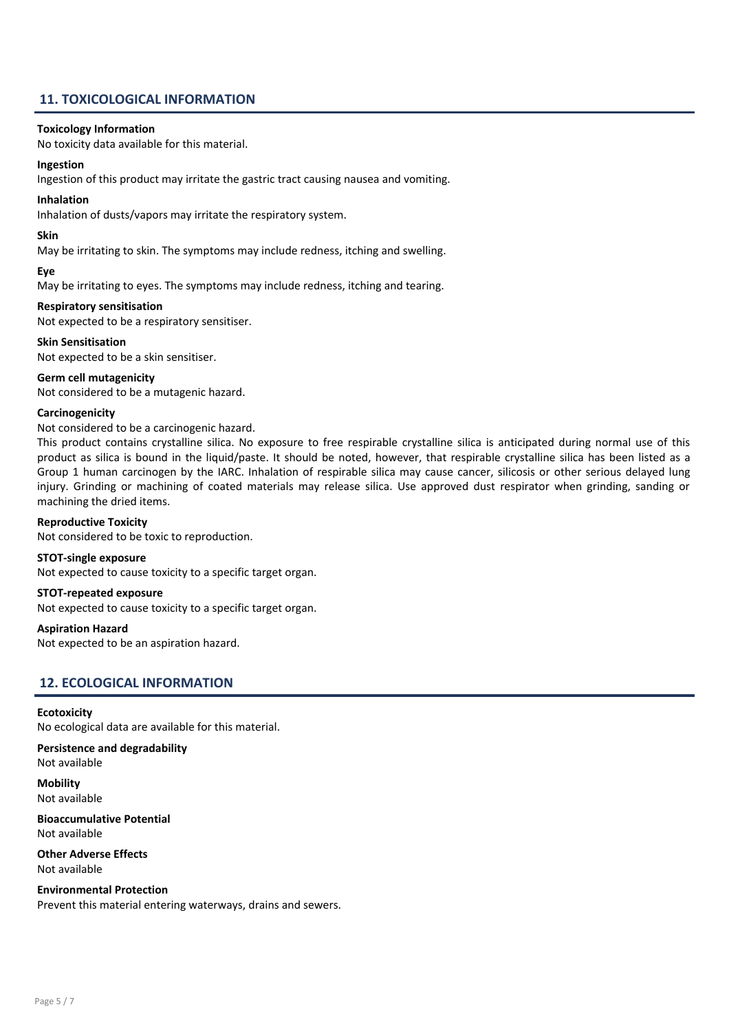## 11. TOXICOLOGICAL INFORMATION

## Toxicology Information

No toxicity data available for this material.

## Ingestion

Ingestion of this product may irritate the gastric tract causing nausea and vomiting.

## Inhalation

Inhalation of dusts/vapors may irritate the respiratory system.

## Skin

May be irritating to skin. The symptoms may include redness, itching and swelling.

## Eye

May be irritating to eyes. The symptoms may include redness, itching and tearing.

## Respiratory sensitisation

Not expected to be a respiratory sensitiser.

## Skin Sensitisation

Not expected to be a skin sensitiser.

## Germ cell mutagenicity

Not considered to be a mutagenic hazard.

## **Carcinogenicity**

## Not considered to be a carcinogenic hazard.

This product contains crystalline silica. No exposure to free respirable crystalline silica is anticipated during normal use of this product as silica is bound in the liquid/paste. It should be noted, however, that respirable crystalline silica has been listed as a Group 1 human carcinogen by the IARC. Inhalation of respirable silica may cause cancer, silicosis or other serious delayed lung injury. Grinding or machining of coated materials may release silica. Use approved dust respirator when grinding, sanding or machining the dried items.

## Reproductive Toxicity

Not considered to be toxic to reproduction.

## STOT-single exposure

Not expected to cause toxicity to a specific target organ.

#### STOT-repeated exposure

Not expected to cause toxicity to a specific target organ.

#### Aspiration Hazard

Not expected to be an aspiration hazard.

## 12. ECOLOGICAL INFORMATION

## **Ecotoxicity**

No ecological data are available for this material.

## Persistence and degradability

Not available

**Mobility** Not available

## Bioaccumulative Potential Not available

Other Adverse Effects Not available

## Environmental Protection

Prevent this material entering waterways, drains and sewers.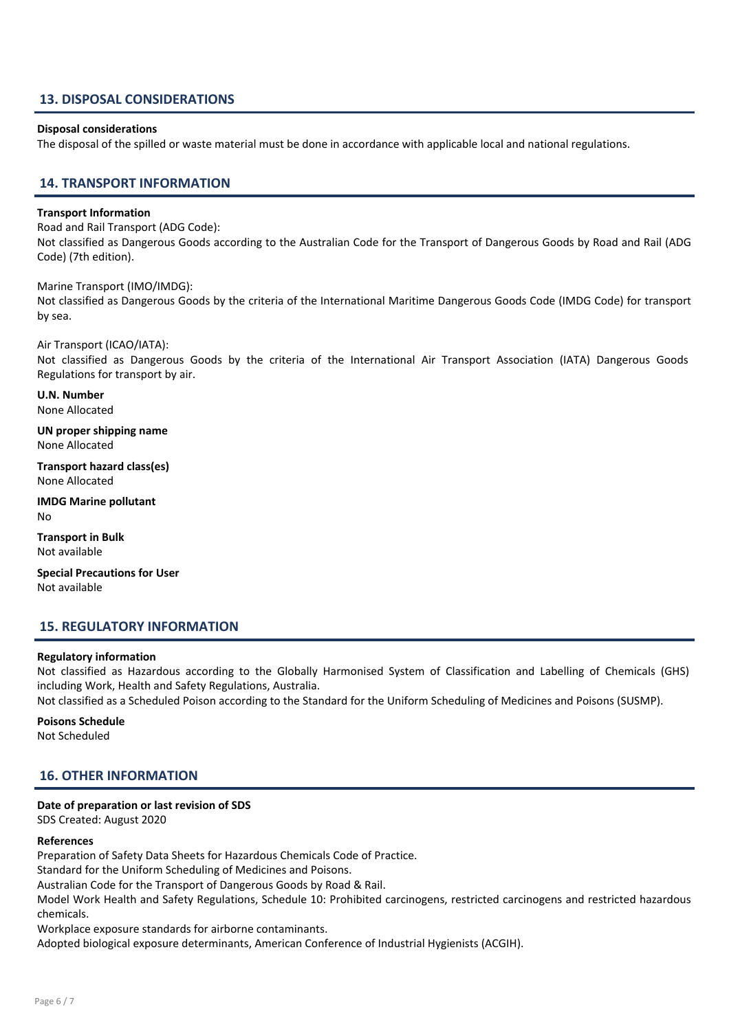## 13. DISPOSAL CONSIDERATIONS

## Disposal considerations

The disposal of the spilled or waste material must be done in accordance with applicable local and national regulations.

## 14. TRANSPORT INFORMATION

## Transport Information

Road and Rail Transport (ADG Code):

Not classified as Dangerous Goods according to the Australian Code for the Transport of Dangerous Goods by Road and Rail (ADG Code) (7th edition).

Marine Transport (IMO/IMDG):

Not classified as Dangerous Goods by the criteria of the International Maritime Dangerous Goods Code (IMDG Code) for transport by sea.

Air Transport (ICAO/IATA): Not classified as Dangerous Goods by the criteria of the International Air Transport Association (IATA) Dangerous Goods Regulations for transport by air.

U.N. Number None Allocated

UN proper shipping name None Allocated

Transport hazard class(es) None Allocated

IMDG Marine pollutant No

Transport in Bulk Not available

Special Precautions for User Not available

## 15. REGULATORY INFORMATION

#### Regulatory information

Not classified as Hazardous according to the Globally Harmonised System of Classification and Labelling of Chemicals (GHS) including Work, Health and Safety Regulations, Australia.

Not classified as a Scheduled Poison according to the Standard for the Uniform Scheduling of Medicines and Poisons (SUSMP).

Poisons Schedule Not Scheduled

## 16. OTHER INFORMATION

## Date of preparation or last revision of SDS

SDS Created: August 2020

#### References

Preparation of Safety Data Sheets for Hazardous Chemicals Code of Practice.

Standard for the Uniform Scheduling of Medicines and Poisons.

Australian Code for the Transport of Dangerous Goods by Road & Rail.

Model Work Health and Safety Regulations, Schedule 10: Prohibited carcinogens, restricted carcinogens and restricted hazardous chemicals.

Workplace exposure standards for airborne contaminants.

Adopted biological exposure determinants, American Conference of Industrial Hygienists (ACGIH).